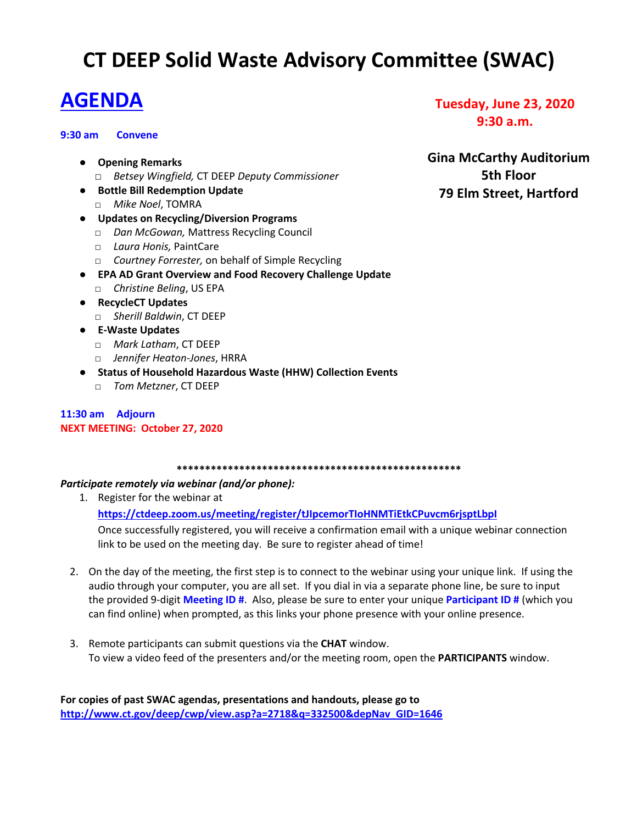# **CT DEEP Solid Waste Advisory Committee (SWAC)**

# **AGENDA**

### **9:30 am Convene**

- **Opening Remarks**
	- □ *Betsey Wingfield,* CT DEEP *Deputy Commissioner*
- **Bottle Bill Redemption Update** □ *Mike Noel*, TOMRA
- **Updates on Recycling/Diversion Programs**
	- □ *Dan McGowan,* Mattress Recycling Council
	- □ *Laura Honis,* PaintCare
	- □ *Courtney Forrester,* on behalf of Simple Recycling
- **EPA AD Grant Overview and Food Recovery Challenge Update**
	- □ *Christine Beling*, US EPA
- **RecycleCT Updates**
	- □ *Sherill Baldwin*, CT DEEP
- **E-Waste Updates**
	- □ *Mark Latham*, CT DEEP
	- □ *Jennifer Heaton-Jones*, HRRA
- **Status of Household Hazardous Waste (HHW) Collection Events**
	- □ *Tom Metzner*, CT DEEP

# **11:30 am Adjourn NEXT MEETING: October 27, 2020**

**\*\*\*\*\*\*\*\*\*\*\*\*\*\*\*\*\*\*\*\*\*\*\*\*\*\*\*\*\*\*\*\*\*\*\*\*\*\*\*\*\*\*\*\*\*\*\*\*\*\***

# *Participate remotely via webinar (and/or phone):*

- 1. Register for the webinar at **https://ctdeep.zoom.us/meeting/register/tJIpcemorTIoHNMTiEtkCPuvcm6rjsptLbpI** Once successfully registered, you will receive a confirmation email with a unique webinar connection
	- link to be used on the meeting day. Be sure to register ahead of time!
- 2. On the day of the meeting, the first step is to connect to the webinar using your unique link. If using the audio through your computer, you are all set. If you dial in via a separate phone line, be sure to input the provided 9-digit **Meeting ID #**. Also, please be sure to enter your unique **Participant ID #** (which you can find online) when prompted, as this links your phone presence with your online presence.
- 3. Remote participants can submit questions via the **CHAT** window. To view a video feed of the presenters and/or the meeting room, open the **PARTICIPANTS** window.

# **Tuesday, June 23, 2020 9:30 a.m.**

**Gina McCarthy Auditorium 5th Floor 79 Elm Street, Hartford**